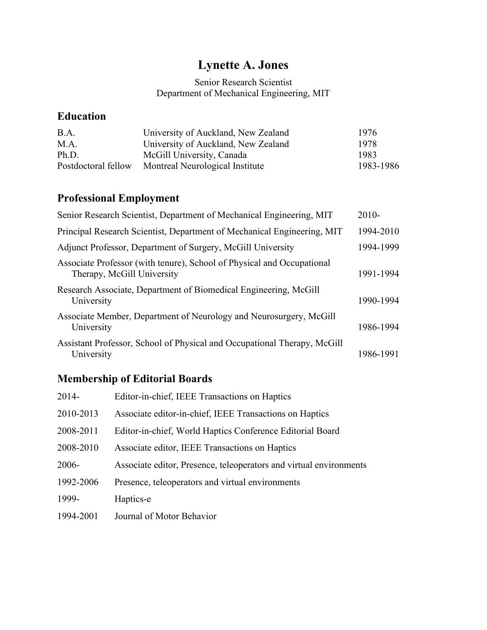# **Lynette A. Jones**

### Senior Research Scientist Department of Mechanical Engineering, MIT

## **Education**

| B.A.                | University of Auckland, New Zealand | 1976      |
|---------------------|-------------------------------------|-----------|
| M.A.                | University of Auckland, New Zealand | 1978      |
| Ph.D.               | McGill University, Canada           | 1983      |
| Postdoctoral fellow | Montreal Neurological Institute     | 1983-1986 |

# **Professional Employment**

| Senior Research Scientist, Department of Mechanical Engineering, MIT                                 | $2010-$   |
|------------------------------------------------------------------------------------------------------|-----------|
| Principal Research Scientist, Department of Mechanical Engineering, MIT                              | 1994-2010 |
| Adjunct Professor, Department of Surgery, McGill University                                          | 1994-1999 |
| Associate Professor (with tenure), School of Physical and Occupational<br>Therapy, McGill University | 1991-1994 |
| Research Associate, Department of Biomedical Engineering, McGill<br>University                       | 1990-1994 |
| Associate Member, Department of Neurology and Neurosurgery, McGill<br>University                     | 1986-1994 |
| Assistant Professor, School of Physical and Occupational Therapy, McGill<br>University               | 1986-1991 |

# **Membership of Editorial Boards**

| 2014-     | Editor-in-chief, IEEE Transactions on Haptics                      |
|-----------|--------------------------------------------------------------------|
| 2010-2013 | Associate editor-in-chief, IEEE Transactions on Haptics            |
| 2008-2011 | Editor-in-chief, World Haptics Conference Editorial Board          |
| 2008-2010 | Associate editor, IEEE Transactions on Haptics                     |
| 2006-     | Associate editor, Presence, teleoperators and virtual environments |
| 1992-2006 | Presence, teleoperators and virtual environments                   |
| 1999-     | Haptics-e                                                          |
| 1994-2001 | Journal of Motor Behavior                                          |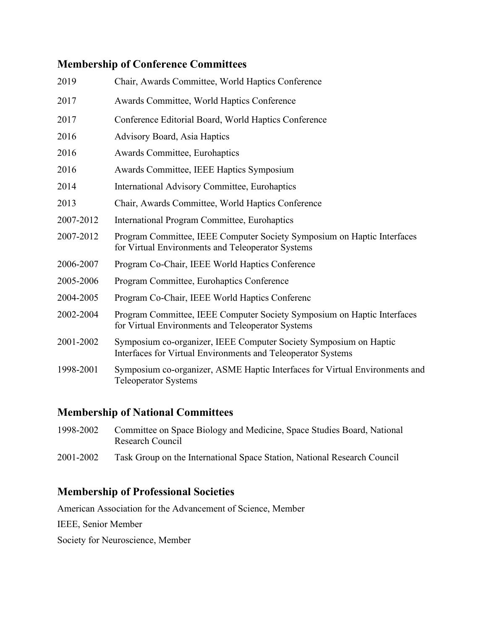## **Membership of Conference Committees**

| 2019      | Chair, Awards Committee, World Haptics Conference                                                                                 |
|-----------|-----------------------------------------------------------------------------------------------------------------------------------|
| 2017      | Awards Committee, World Haptics Conference                                                                                        |
| 2017      | Conference Editorial Board, World Haptics Conference                                                                              |
| 2016      | <b>Advisory Board, Asia Haptics</b>                                                                                               |
| 2016      | Awards Committee, Eurohaptics                                                                                                     |
| 2016      | Awards Committee, IEEE Haptics Symposium                                                                                          |
| 2014      | International Advisory Committee, Eurohaptics                                                                                     |
| 2013      | Chair, Awards Committee, World Haptics Conference                                                                                 |
| 2007-2012 | International Program Committee, Eurohaptics                                                                                      |
| 2007-2012 | Program Committee, IEEE Computer Society Symposium on Haptic Interfaces<br>for Virtual Environments and Teleoperator Systems      |
| 2006-2007 | Program Co-Chair, IEEE World Haptics Conference                                                                                   |
| 2005-2006 | Program Committee, Eurohaptics Conference                                                                                         |
| 2004-2005 | Program Co-Chair, IEEE World Haptics Conferenc                                                                                    |
| 2002-2004 | Program Committee, IEEE Computer Society Symposium on Haptic Interfaces<br>for Virtual Environments and Teleoperator Systems      |
| 2001-2002 | Symposium co-organizer, IEEE Computer Society Symposium on Haptic<br>Interfaces for Virtual Environments and Teleoperator Systems |
| 1998-2001 | Symposium co-organizer, ASME Haptic Interfaces for Virtual Environments and<br><b>Teleoperator Systems</b>                        |
|           |                                                                                                                                   |

### **Membership of National Committees**

- 1998-2002 Committee on Space Biology and Medicine, Space Studies Board, National Research Council
- 2001-2002 Task Group on the International Space Station, National Research Council

## **Membership of Professional Societies**

American Association for the Advancement of Science, Member

IEEE, Senior Member

Society for Neuroscience, Member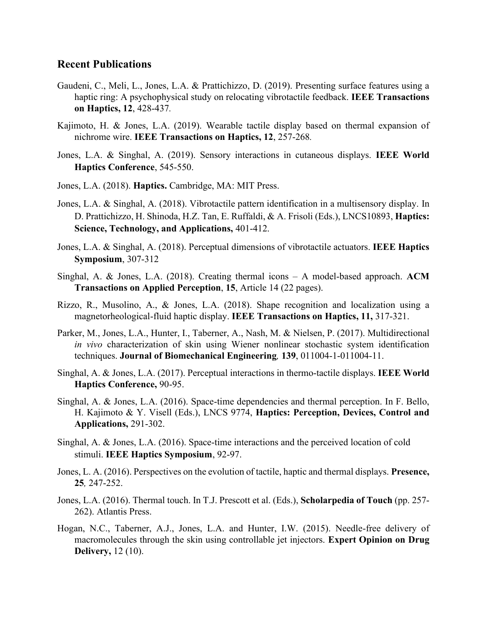#### **Recent Publications**

- Gaudeni, C., Meli, L., Jones, L.A. & Prattichizzo, D. (2019). Presenting surface features using a haptic ring: A psychophysical study on relocating vibrotactile feedback. **IEEE Transactions on Haptics, 12**, 428-437*.*
- Kajimoto, H. & Jones, L.A. (2019). Wearable tactile display based on thermal expansion of nichrome wire. **IEEE Transactions on Haptics, 12**, 257-268*.*
- Jones, L.A. & Singhal, A. (2019). Sensory interactions in cutaneous displays. **IEEE World Haptics Conference**, 545-550.
- Jones, L.A. (2018). **Haptics.** Cambridge, MA: MIT Press.
- Jones, L.A. & Singhal, A. (2018). Vibrotactile pattern identification in a multisensory display. In D. Prattichizzo, H. Shinoda, H.Z. Tan, E. Ruffaldi, & A. Frisoli (Eds.), LNCS10893, **Haptics: Science, Technology, and Applications,** 401-412.
- Jones, L.A. & Singhal, A. (2018). Perceptual dimensions of vibrotactile actuators. **IEEE Haptics Symposium**, 307-312
- Singhal, A. & Jones, L.A. (2018). Creating thermal icons A model-based approach. **ACM Transactions on Applied Perception**, **15**, Article 14 (22 pages).
- Rizzo, R., Musolino, A., & Jones, L.A. (2018). Shape recognition and localization using a magnetorheological-fluid haptic display. **IEEE Transactions on Haptics, 11,** 317-321.
- Parker, M., Jones, L.A., Hunter, I., Taberner, A., Nash, M. & Nielsen, P. (2017). Multidirectional *in vivo* characterization of skin using Wiener nonlinear stochastic system identification techniques. **Journal of Biomechanical Engineering***,* **139**, 011004-1-011004-11.
- Singhal, A. & Jones, L.A. (2017). Perceptual interactions in thermo-tactile displays. **IEEE World Haptics Conference,** 90-95.
- Singhal, A. & Jones, L.A. (2016). Space-time dependencies and thermal perception. In F. Bello, H. Kajimoto & Y. Visell (Eds.), LNCS 9774, **Haptics: Perception, Devices, Control and Applications,** 291-302.
- Singhal, A. & Jones, L.A. (2016). Space-time interactions and the perceived location of cold stimuli. **IEEE Haptics Symposium**, 92-97.
- Jones, L. A. (2016). Perspectives on the evolution of tactile, haptic and thermal displays. **Presence, 25***,* 247-252.
- Jones, L.A. (2016). Thermal touch. In T.J. Prescott et al. (Eds.), **Scholarpedia of Touch** (pp. 257- 262). Atlantis Press.
- Hogan, N.C., Taberner, A.J., Jones, L.A. and Hunter, I.W. (2015). Needle-free delivery of macromolecules through the skin using controllable jet injectors. **Expert Opinion on Drug Delivery,** 12 (10).